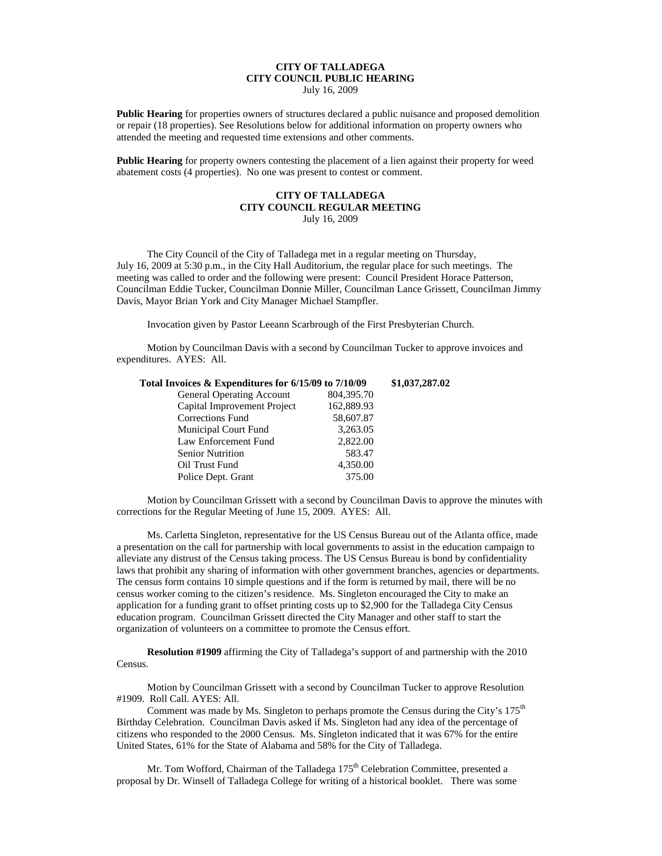## **CITY OF TALLADEGA CITY COUNCIL PUBLIC HEARING**

July 16, 2009

**Public Hearing** for properties owners of structures declared a public nuisance and proposed demolition or repair (18 properties). See Resolutions below for additional information on property owners who attended the meeting and requested time extensions and other comments.

**Public Hearing** for property owners contesting the placement of a lien against their property for weed abatement costs (4 properties). No one was present to contest or comment.

## **CITY OF TALLADEGA CITY COUNCIL REGULAR MEETING** July 16, 2009

The City Council of the City of Talladega met in a regular meeting on Thursday, July 16, 2009 at 5:30 p.m., in the City Hall Auditorium, the regular place for such meetings. The meeting was called to order and the following were present: Council President Horace Patterson, Councilman Eddie Tucker, Councilman Donnie Miller, Councilman Lance Grissett, Councilman Jimmy Davis, Mayor Brian York and City Manager Michael Stampfler.

Invocation given by Pastor Leeann Scarbrough of the First Presbyterian Church.

Motion by Councilman Davis with a second by Councilman Tucker to approve invoices and expenditures. AYES: All.

| Total Invoices & Expenditures for 6/15/09 to 7/10/09 |              | \$1,037,287.02 |
|------------------------------------------------------|--------------|----------------|
| <b>General Operating Account</b>                     | 804, 395. 70 |                |
| Capital Improvement Project                          | 162,889.93   |                |
| <b>Corrections Fund</b>                              | 58,607.87    |                |
| Municipal Court Fund                                 | 3,263.05     |                |
| Law Enforcement Fund                                 | 2,822.00     |                |
| <b>Senior Nutrition</b>                              | 583.47       |                |
| Oil Trust Fund                                       | 4,350.00     |                |
| Police Dept. Grant                                   | 375.00       |                |

Motion by Councilman Grissett with a second by Councilman Davis to approve the minutes with corrections for the Regular Meeting of June 15, 2009. AYES: All.

Ms. Carletta Singleton, representative for the US Census Bureau out of the Atlanta office, made a presentation on the call for partnership with local governments to assist in the education campaign to alleviate any distrust of the Census taking process. The US Census Bureau is bond by confidentiality laws that prohibit any sharing of information with other government branches, agencies or departments. The census form contains 10 simple questions and if the form is returned by mail, there will be no census worker coming to the citizen's residence. Ms. Singleton encouraged the City to make an application for a funding grant to offset printing costs up to \$2,900 for the Talladega City Census education program. Councilman Grissett directed the City Manager and other staff to start the organization of volunteers on a committee to promote the Census effort.

**Resolution #1909** affirming the City of Talladega's support of and partnership with the 2010 Census.

Motion by Councilman Grissett with a second by Councilman Tucker to approve Resolution #1909. Roll Call. AYES: All.

Comment was made by Ms. Singleton to perhaps promote the Census during the City's  $175<sup>th</sup>$ Birthday Celebration. Councilman Davis asked if Ms. Singleton had any idea of the percentage of citizens who responded to the 2000 Census. Ms. Singleton indicated that it was 67% for the entire United States, 61% for the State of Alabama and 58% for the City of Talladega.

Mr. Tom Wofford, Chairman of the Talladega 175<sup>th</sup> Celebration Committee, presented a proposal by Dr. Winsell of Talladega College for writing of a historical booklet. There was some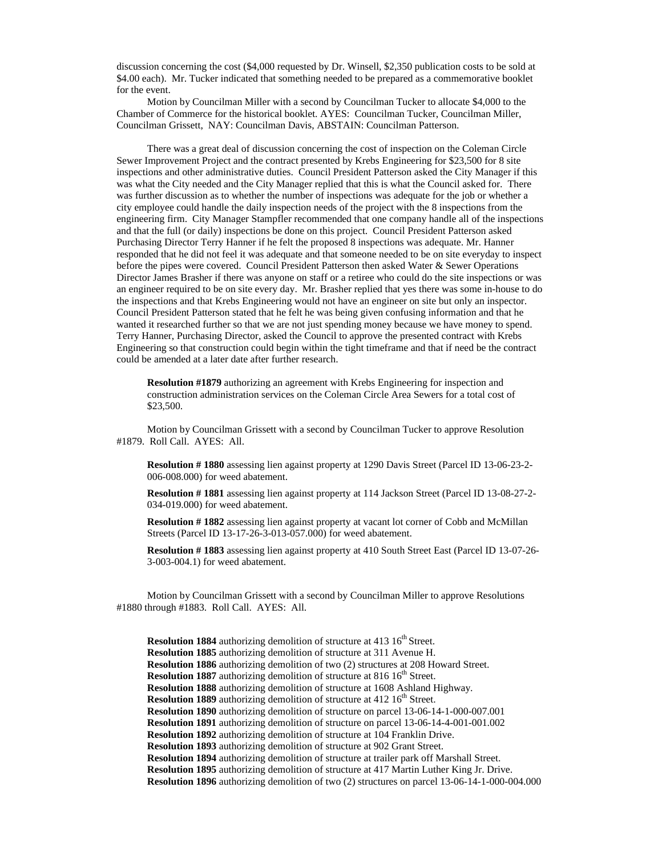discussion concerning the cost (\$4,000 requested by Dr. Winsell, \$2,350 publication costs to be sold at \$4.00 each). Mr. Tucker indicated that something needed to be prepared as a commemorative booklet for the event.

Motion by Councilman Miller with a second by Councilman Tucker to allocate \$4,000 to the Chamber of Commerce for the historical booklet. AYES: Councilman Tucker, Councilman Miller, Councilman Grissett, NAY: Councilman Davis, ABSTAIN: Councilman Patterson.

There was a great deal of discussion concerning the cost of inspection on the Coleman Circle Sewer Improvement Project and the contract presented by Krebs Engineering for \$23,500 for 8 site inspections and other administrative duties. Council President Patterson asked the City Manager if this was what the City needed and the City Manager replied that this is what the Council asked for. There was further discussion as to whether the number of inspections was adequate for the job or whether a city employee could handle the daily inspection needs of the project with the 8 inspections from the engineering firm. City Manager Stampfler recommended that one company handle all of the inspections and that the full (or daily) inspections be done on this project. Council President Patterson asked Purchasing Director Terry Hanner if he felt the proposed 8 inspections was adequate. Mr. Hanner responded that he did not feel it was adequate and that someone needed to be on site everyday to inspect before the pipes were covered. Council President Patterson then asked Water & Sewer Operations Director James Brasher if there was anyone on staff or a retiree who could do the site inspections or was an engineer required to be on site every day. Mr. Brasher replied that yes there was some in-house to do the inspections and that Krebs Engineering would not have an engineer on site but only an inspector. Council President Patterson stated that he felt he was being given confusing information and that he wanted it researched further so that we are not just spending money because we have money to spend. Terry Hanner, Purchasing Director, asked the Council to approve the presented contract with Krebs Engineering so that construction could begin within the tight timeframe and that if need be the contract could be amended at a later date after further research.

**Resolution #1879** authorizing an agreement with Krebs Engineering for inspection and construction administration services on the Coleman Circle Area Sewers for a total cost of \$23,500.

Motion by Councilman Grissett with a second by Councilman Tucker to approve Resolution #1879. Roll Call. AYES: All.

**Resolution # 1880** assessing lien against property at 1290 Davis Street (Parcel ID 13-06-23-2- 006-008.000) for weed abatement.

**Resolution # 1881** assessing lien against property at 114 Jackson Street (Parcel ID 13-08-27-2- 034-019.000) for weed abatement.

**Resolution # 1882** assessing lien against property at vacant lot corner of Cobb and McMillan Streets (Parcel ID 13-17-26-3-013-057.000) for weed abatement.

**Resolution # 1883** assessing lien against property at 410 South Street East (Parcel ID 13-07-26- 3-003-004.1) for weed abatement.

Motion by Councilman Grissett with a second by Councilman Miller to approve Resolutions #1880 through #1883. Roll Call. AYES: All.

**Resolution 1884** authorizing demolition of structure at 413 16<sup>th</sup> Street. **Resolution 1885** authorizing demolition of structure at 311 Avenue H. **Resolution 1886** authorizing demolition of two (2) structures at 208 Howard Street. **Resolution 1887** authorizing demolition of structure at 816 16<sup>th</sup> Street. **Resolution 1888** authorizing demolition of structure at 1608 Ashland Highway. **Resolution 1889** authorizing demolition of structure at 412 16<sup>th</sup> Street. **Resolution 1890** authorizing demolition of structure on parcel 13-06-14-1-000-007.001 **Resolution 1891** authorizing demolition of structure on parcel 13-06-14-4-001-001.002 **Resolution 1892** authorizing demolition of structure at 104 Franklin Drive. **Resolution 1893** authorizing demolition of structure at 902 Grant Street. **Resolution 1894** authorizing demolition of structure at trailer park off Marshall Street. **Resolution 1895** authorizing demolition of structure at 417 Martin Luther King Jr. Drive. **Resolution 1896** authorizing demolition of two (2) structures on parcel 13-06-14-1-000-004.000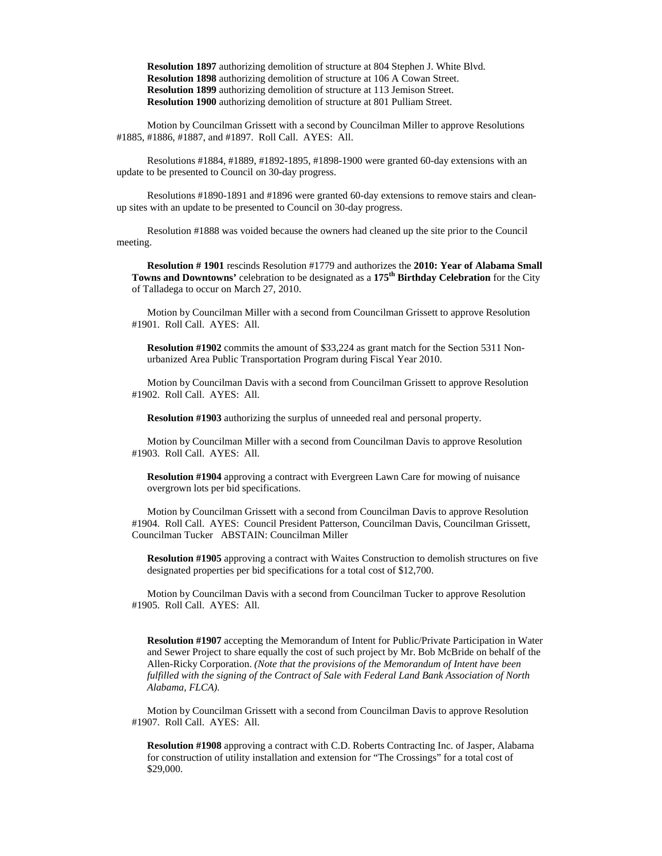**Resolution 1897** authorizing demolition of structure at 804 Stephen J. White Blvd. **Resolution 1898** authorizing demolition of structure at 106 A Cowan Street. **Resolution 1899** authorizing demolition of structure at 113 Jemison Street. **Resolution 1900** authorizing demolition of structure at 801 Pulliam Street.

Motion by Councilman Grissett with a second by Councilman Miller to approve Resolutions #1885, #1886, #1887, and #1897. Roll Call. AYES: All.

Resolutions #1884, #1889, #1892-1895, #1898-1900 were granted 60-day extensions with an update to be presented to Council on 30-day progress.

Resolutions #1890-1891 and #1896 were granted 60-day extensions to remove stairs and cleanup sites with an update to be presented to Council on 30-day progress.

Resolution #1888 was voided because the owners had cleaned up the site prior to the Council meeting.

**Resolution # 1901** rescinds Resolution #1779 and authorizes the **2010: Year of Alabama Small Towns and Downtowns'** celebration to be designated as a **175th Birthday Celebration** for the City of Talladega to occur on March 27, 2010.

Motion by Councilman Miller with a second from Councilman Grissett to approve Resolution #1901. Roll Call. AYES: All.

**Resolution #1902** commits the amount of \$33,224 as grant match for the Section 5311 Nonurbanized Area Public Transportation Program during Fiscal Year 2010.

Motion by Councilman Davis with a second from Councilman Grissett to approve Resolution #1902. Roll Call. AYES: All.

**Resolution #1903** authorizing the surplus of unneeded real and personal property.

Motion by Councilman Miller with a second from Councilman Davis to approve Resolution #1903. Roll Call. AYES: All.

**Resolution #1904** approving a contract with Evergreen Lawn Care for mowing of nuisance overgrown lots per bid specifications.

Motion by Councilman Grissett with a second from Councilman Davis to approve Resolution #1904. Roll Call. AYES: Council President Patterson, Councilman Davis, Councilman Grissett, Councilman Tucker ABSTAIN: Councilman Miller

**Resolution #1905** approving a contract with Waites Construction to demolish structures on five designated properties per bid specifications for a total cost of \$12,700.

Motion by Councilman Davis with a second from Councilman Tucker to approve Resolution #1905. Roll Call. AYES: All.

**Resolution #1907** accepting the Memorandum of Intent for Public/Private Participation in Water and Sewer Project to share equally the cost of such project by Mr. Bob McBride on behalf of the Allen-Ricky Corporation. *(Note that the provisions of the Memorandum of Intent have been fulfilled with the signing of the Contract of Sale with Federal Land Bank Association of North Alabama, FLCA).*

Motion by Councilman Grissett with a second from Councilman Davis to approve Resolution #1907. Roll Call. AYES: All.

**Resolution #1908** approving a contract with C.D. Roberts Contracting Inc. of Jasper, Alabama for construction of utility installation and extension for "The Crossings" for a total cost of \$29,000.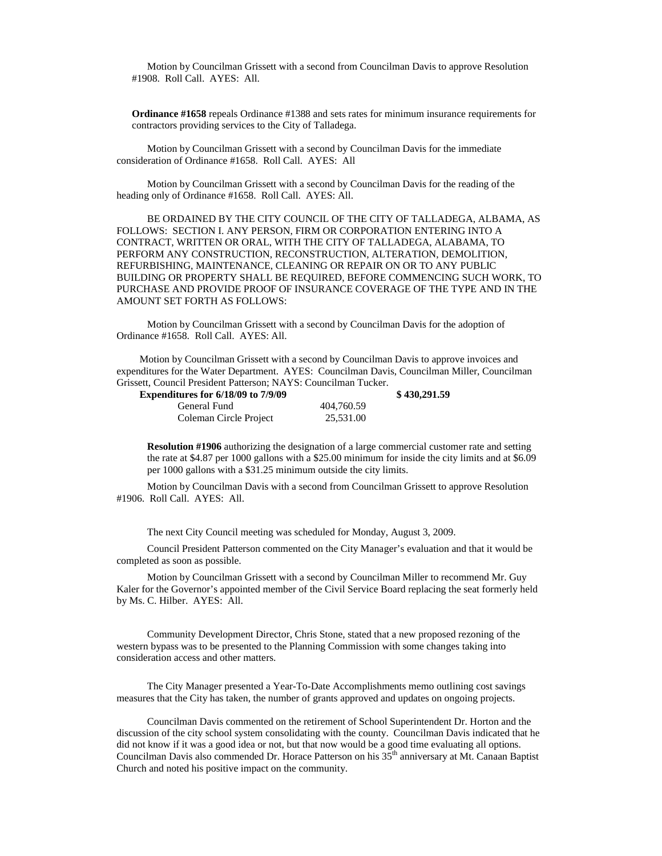Motion by Councilman Grissett with a second from Councilman Davis to approve Resolution #1908. Roll Call. AYES: All.

**Ordinance #1658** repeals Ordinance #1388 and sets rates for minimum insurance requirements for contractors providing services to the City of Talladega.

Motion by Councilman Grissett with a second by Councilman Davis for the immediate consideration of Ordinance #1658. Roll Call. AYES: All

Motion by Councilman Grissett with a second by Councilman Davis for the reading of the heading only of Ordinance #1658. Roll Call. AYES: All.

BE ORDAINED BY THE CITY COUNCIL OF THE CITY OF TALLADEGA, ALBAMA, AS FOLLOWS: SECTION I. ANY PERSON, FIRM OR CORPORATION ENTERING INTO A CONTRACT, WRITTEN OR ORAL, WITH THE CITY OF TALLADEGA, ALABAMA, TO PERFORM ANY CONSTRUCTION, RECONSTRUCTION, ALTERATION, DEMOLITION, REFURBISHING, MAINTENANCE, CLEANING OR REPAIR ON OR TO ANY PUBLIC BUILDING OR PROPERTY SHALL BE REQUIRED, BEFORE COMMENCING SUCH WORK, TO PURCHASE AND PROVIDE PROOF OF INSURANCE COVERAGE OF THE TYPE AND IN THE AMOUNT SET FORTH AS FOLLOWS:

Motion by Councilman Grissett with a second by Councilman Davis for the adoption of Ordinance #1658. Roll Call. AYES: All.

Motion by Councilman Grissett with a second by Councilman Davis to approve invoices and expenditures for the Water Department. AYES: Councilman Davis, Councilman Miller, Councilman Grissett, Council President Patterson; NAYS: Councilman Tucker.

| <b>Expenditures for 6/18/09 to 7/9/09</b> |            | \$430,291.59 |
|-------------------------------------------|------------|--------------|
| General Fund                              | 404,760.59 |              |
| Coleman Circle Project                    | 25.531.00  |              |

**Resolution #1906** authorizing the designation of a large commercial customer rate and setting the rate at \$4.87 per 1000 gallons with a \$25.00 minimum for inside the city limits and at \$6.09 per 1000 gallons with a \$31.25 minimum outside the city limits.

Motion by Councilman Davis with a second from Councilman Grissett to approve Resolution #1906. Roll Call. AYES: All.

The next City Council meeting was scheduled for Monday, August 3, 2009.

Council President Patterson commented on the City Manager's evaluation and that it would be completed as soon as possible.

Motion by Councilman Grissett with a second by Councilman Miller to recommend Mr. Guy Kaler for the Governor's appointed member of the Civil Service Board replacing the seat formerly held by Ms. C. Hilber. AYES: All.

Community Development Director, Chris Stone, stated that a new proposed rezoning of the western bypass was to be presented to the Planning Commission with some changes taking into consideration access and other matters.

The City Manager presented a Year-To-Date Accomplishments memo outlining cost savings measures that the City has taken, the number of grants approved and updates on ongoing projects.

Councilman Davis commented on the retirement of School Superintendent Dr. Horton and the discussion of the city school system consolidating with the county. Councilman Davis indicated that he did not know if it was a good idea or not, but that now would be a good time evaluating all options. Councilman Davis also commended Dr. Horace Patterson on his 35<sup>th</sup> anniversary at Mt. Canaan Baptist Church and noted his positive impact on the community.